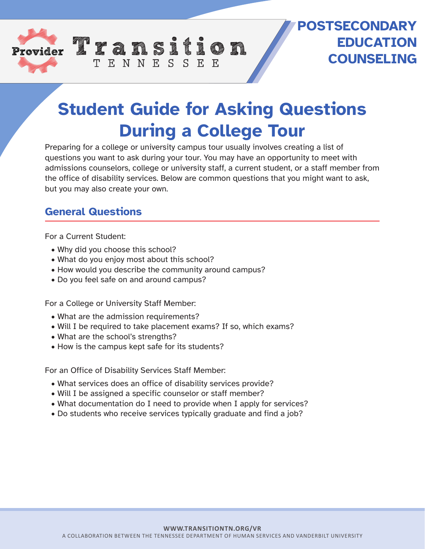

## **POSTSECONDARY EDUCATION COUNSELING**

# **Student Guide for Asking Questions During a College Tour**

Preparing for a college or university campus tour usually involves creating a list of questions you want to ask during your tour. You may have an opportunity to meet with admissions counselors, college or university staff, a current student, or a staff member from the office of disability services. Below are common questions that you might want to ask, but you may also create your own.

#### **General Questions**

For a Current Student:

- Why did you choose this school?
- What do you enjoy most about this school?
- How would you describe the community around campus?

TENNESSEE

• Do you feel safe on and around campus?

For a College or University Staff Member:

- What are the admission requirements?
- Will I be required to take placement exams? If so, which exams?
- What are the school's strengths?
- How is the campus kept safe for its students?

For an Office of Disability Services Staff Member:

- What services does an office of disability services provide?
- Will I be assigned a specific counselor or staff member?
- What documentation do I need to provide when I apply for services?
- Do students who receive services typically graduate and find a job?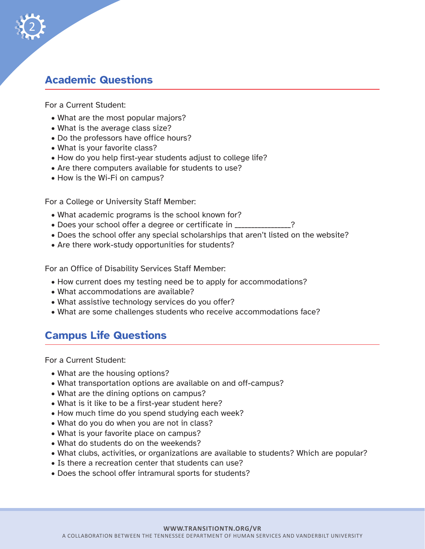

#### **Academic Questions**

For a Current Student:

- What are the most popular majors?
- What is the average class size?
- Do the professors have office hours?
- What is your favorite class?
- How do you help first-year students adjust to college life?
- Are there computers available for students to use?
- How is the Wi-Fi on campus?

For a College or University Staff Member:

- What academic programs is the school known for?
- Does your school offer a degree or certificate in \_\_\_\_\_\_\_\_\_\_\_\_\_\_\_\_\_\_\_\_\_\_\_\_\_\_\_\_
- Does the school offer any special scholarships that aren't listed on the website?
- Are there work-study opportunities for students?

For an Office of Disability Services Staff Member:

- How current does my testing need be to apply for accommodations?
- What accommodations are available?
- What assistive technology services do you offer?
- What are some challenges students who receive accommodations face?

### **Campus Life Questions**

For a Current Student:

- What are the housing options?
- What transportation options are available on and off-campus?
- What are the dining options on campus?
- What is it like to be a first-year student here?
- How much time do you spend studying each week?
- What do you do when you are not in class?
- What is your favorite place on campus?
- What do students do on the weekends?
- What clubs, activities, or organizations are available to students? Which are popular?
- Is there a recreation center that students can use?
- Does the school offer intramural sports for students?

#### **WWW.TRANSITIONTN.ORG/VR**